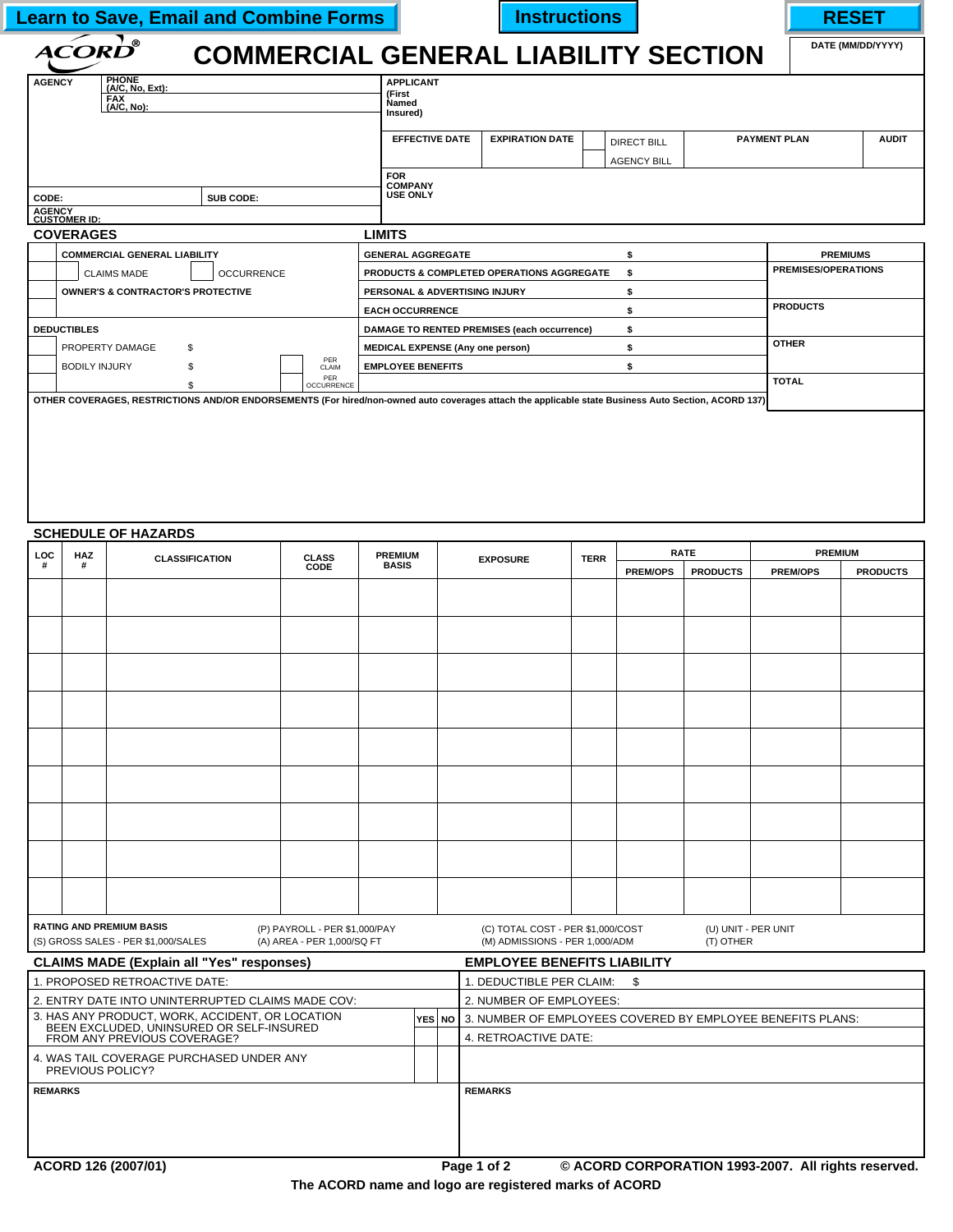|  |  |  | <b>Learn to Save, Email and Combine Forms</b> |
|--|--|--|-----------------------------------------------|
|--|--|--|-----------------------------------------------|

**Learn To Save Email and Combine Forms Instructions I** 

| <b>COMMERCIAL GENERAL LIABILITY SECTION</b> | DATE (MM/DD/YYYY) |
|---------------------------------------------|-------------------|
|---------------------------------------------|-------------------|

| ®<br><i><b>ACORD</b></i>                                                                                          | <b>COMMERCIAL GENERAL LIABILITY SECTION</b>          |                        |                                          |                     | DATE (MM/DD/YYYY)          |
|-------------------------------------------------------------------------------------------------------------------|------------------------------------------------------|------------------------|------------------------------------------|---------------------|----------------------------|
| <b>PHONE</b><br><b>AGENCY</b><br>$(A/C, No, Ext)$ :<br><b>FAX</b><br>(A/C, No):                                   | <b>APPLICANT</b><br>(First<br>Named<br>Insured)      |                        |                                          |                     |                            |
|                                                                                                                   | <b>EFFECTIVE DATE</b>                                | <b>EXPIRATION DATE</b> | <b>DIRECT BILL</b><br><b>AGENCY BILL</b> | <b>PAYMENT PLAN</b> | <b>AUDIT</b>               |
|                                                                                                                   | <b>FOR</b><br><b>COMPANY</b><br><b>USE ONLY</b>      |                        |                                          |                     |                            |
| SUB CODE:                                                                                                         |                                                      |                        |                                          |                     |                            |
|                                                                                                                   | <b>LIMITS</b>                                        |                        |                                          |                     |                            |
| <b>COMMERCIAL GENERAL LIABILITY</b>                                                                               | <b>GENERAL AGGREGATE</b>                             |                        |                                          |                     | <b>PREMIUMS</b>            |
| <b>CLAIMS MADE</b><br><b>OCCURRENCE</b>                                                                           | <b>PRODUCTS &amp; COMPLETED OPERATIONS AGGREGATE</b> |                        |                                          |                     | <b>PREMISES/OPERATIONS</b> |
| CODE:<br><b>AGENCY</b><br><b>CUSTOMER ID:</b><br><b>COVERAGES</b><br><b>OWNER'S &amp; CONTRACTOR'S PROTECTIVE</b> | PERSONAL & ADVERTISING INJURY                        |                        | ፍ                                        |                     |                            |
|                                                                                                                   | <b>EACH OCCURRENCE</b>                               |                        | \$.                                      |                     | <b>PRODUCTS</b>            |
| <b>DEDUCTIBLES</b>                                                                                                | DAMAGE TO RENTED PREMISES (each occurrence)          |                        | \$                                       |                     |                            |
| PROPERTY DAMAGE<br>S                                                                                              | <b>MEDICAL EXPENSE (Any one person)</b>              |                        | \$                                       |                     | <b>OTHER</b>               |
| <b>BODILY INJURY</b>                                                                                              | PER<br><b>EMPLOYEE BENEFITS</b><br>CLAIM             |                        |                                          |                     |                            |
|                                                                                                                   | PER<br><b>OCCURRENCE</b>                             |                        |                                          |                     | <b>TOTAL</b>               |

## **SCHEDULE OF HAZARDS**

| <b>LOC</b>     | HAZ | <b>CLASSIFICATION</b>                                                                       | <b>CLASS</b>                  | <b>PREMIUM</b> |  | <b>EXPOSURE</b>                                                   | <b>TERR</b> |                 | <b>RATE</b>         | <b>PREMIUM</b>                                      |                 |
|----------------|-----|---------------------------------------------------------------------------------------------|-------------------------------|----------------|--|-------------------------------------------------------------------|-------------|-----------------|---------------------|-----------------------------------------------------|-----------------|
|                | Ħ.  |                                                                                             | <b>CODE</b>                   | <b>BASIS</b>   |  |                                                                   |             | <b>PREM/OPS</b> | <b>PRODUCTS</b>     | <b>PREM/OPS</b>                                     | <b>PRODUCTS</b> |
|                |     |                                                                                             |                               |                |  |                                                                   |             |                 |                     |                                                     |                 |
|                |     |                                                                                             |                               |                |  |                                                                   |             |                 |                     |                                                     |                 |
|                |     |                                                                                             |                               |                |  |                                                                   |             |                 |                     |                                                     |                 |
|                |     |                                                                                             |                               |                |  |                                                                   |             |                 |                     |                                                     |                 |
|                |     |                                                                                             |                               |                |  |                                                                   |             |                 |                     |                                                     |                 |
|                |     |                                                                                             |                               |                |  |                                                                   |             |                 |                     |                                                     |                 |
|                |     |                                                                                             |                               |                |  |                                                                   |             |                 |                     |                                                     |                 |
|                |     |                                                                                             |                               |                |  |                                                                   |             |                 |                     |                                                     |                 |
|                |     |                                                                                             |                               |                |  |                                                                   |             |                 |                     |                                                     |                 |
|                |     |                                                                                             |                               |                |  |                                                                   |             |                 |                     |                                                     |                 |
|                |     |                                                                                             |                               |                |  |                                                                   |             |                 |                     |                                                     |                 |
|                |     |                                                                                             |                               |                |  |                                                                   |             |                 |                     |                                                     |                 |
|                |     |                                                                                             |                               |                |  |                                                                   |             |                 |                     |                                                     |                 |
|                |     |                                                                                             |                               |                |  |                                                                   |             |                 |                     |                                                     |                 |
|                |     |                                                                                             |                               |                |  |                                                                   |             |                 |                     |                                                     |                 |
|                |     |                                                                                             |                               |                |  |                                                                   |             |                 |                     |                                                     |                 |
|                |     |                                                                                             |                               |                |  |                                                                   |             |                 |                     |                                                     |                 |
|                |     | <b>RATING AND PREMIUM BASIS</b>                                                             | (P) PAYROLL - PER \$1,000/PAY |                |  | (C) TOTAL COST - PER \$1,000/COST                                 |             |                 | (U) UNIT - PER UNIT |                                                     |                 |
|                |     | (S) GROSS SALES - PER \$1,000/SALES                                                         | (A) AREA - PER 1,000/SQ FT    |                |  | (M) ADMISSIONS - PER 1,000/ADM                                    |             |                 | (T) OTHER           |                                                     |                 |
|                |     | <b>CLAIMS MADE (Explain all "Yes" responses)</b>                                            |                               |                |  | <b>EMPLOYEE BENEFITS LIABILITY</b>                                |             |                 |                     |                                                     |                 |
|                |     | 1. PROPOSED RETROACTIVE DATE:                                                               |                               |                |  | 1. DEDUCTIBLE PER CLAIM: \$                                       |             |                 |                     |                                                     |                 |
|                |     | 2. ENTRY DATE INTO UNINTERRUPTED CLAIMS MADE COV:                                           |                               |                |  | 2. NUMBER OF EMPLOYEES:                                           |             |                 |                     |                                                     |                 |
|                |     | 3. HAS ANY PRODUCT, WORK, ACCIDENT, OR LOCATION<br>BEEN EXCLUDED, UNINSURED OR SELF-INSURED |                               |                |  | YES NO 3. NUMBER OF EMPLOYEES COVERED BY EMPLOYEE BENEFITS PLANS: |             |                 |                     |                                                     |                 |
|                |     | FROM ANY PREVIOUS COVERAGE?                                                                 |                               |                |  | 4. RETROACTIVE DATE:                                              |             |                 |                     |                                                     |                 |
|                |     | 4. WAS TAIL COVERAGE PURCHASED UNDER ANY<br>PREVIOUS POLICY?                                |                               |                |  |                                                                   |             |                 |                     |                                                     |                 |
| <b>REMARKS</b> |     |                                                                                             |                               |                |  | <b>REMARKS</b>                                                    |             |                 |                     |                                                     |                 |
|                |     |                                                                                             |                               |                |  |                                                                   |             |                 |                     |                                                     |                 |
|                |     |                                                                                             |                               |                |  |                                                                   |             |                 |                     |                                                     |                 |
|                |     |                                                                                             |                               |                |  |                                                                   |             |                 |                     |                                                     |                 |
|                |     | ACORD 126 (2007/01)                                                                         |                               |                |  | Page 1 of 2                                                       |             |                 |                     | © ACORD CORPORATION 1993-2007. All rights reserved. |                 |

**The ACORD name and logo are registered marks of ACORD**